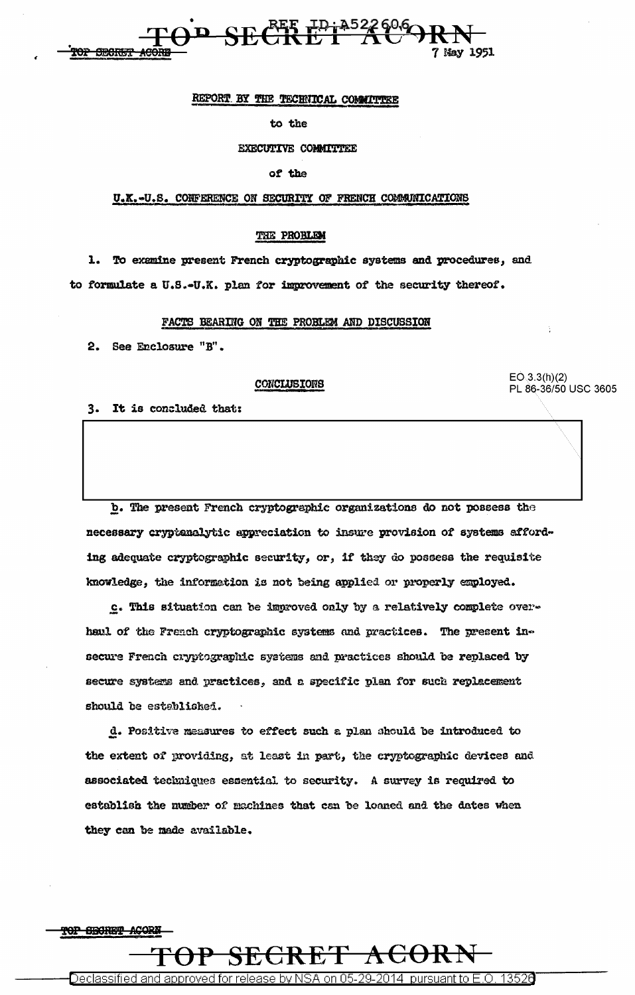

### REPORT BY THE TECHNICAL COMMITTEE

#### to the

**EXECUTIVE COMMITTEE** 

#### of the

### U.K.-U.S. CONFERENCE ON SECURITY OF FRENCH COMMUNICATIONS

### THE PROBLEM

1. To examine present French cryptographic systems and procedures, and to formulate a U.S.-U.K. plan for improvement of the security thereof.

### FACTS BEARING ON THE PROBLEM AND DISCUSSION

2. See Enclosure "B".

### CONCLUSIONS

 $EO(3.3(h)(2)$ PL 86-36/50 USC 3605

3. It is concluded that:

b. The present French cryptographic organizations do not possess the necessary cryptanalytic appreciation to insure provision of systems affording adequate cryptographic security, or, if they do possess the requisite knowledge, the information is not being applied or properly employed.

c. This situation can be improved only by a relatively complete overhaul of the French cryptographic systems and practices. The present insecure French cryptographic systems and practices should be replaced by secure systems and practices, and a specific plan for such replacement should be established.

d. Positive measures to effect such a plan should be introduced to the extent of providing, at least in part, the cryptographic devices and associated techniques essential to security. A survey is required to establish the number of machines that can be loaned and the dates when they can be made available.



Declassified and approved for release by NSA on 05-29-2014  $\,$  pursuant to E.O. 13520  $\,$ 

 $\overline{\mathbf{A}}$ ti

SECRE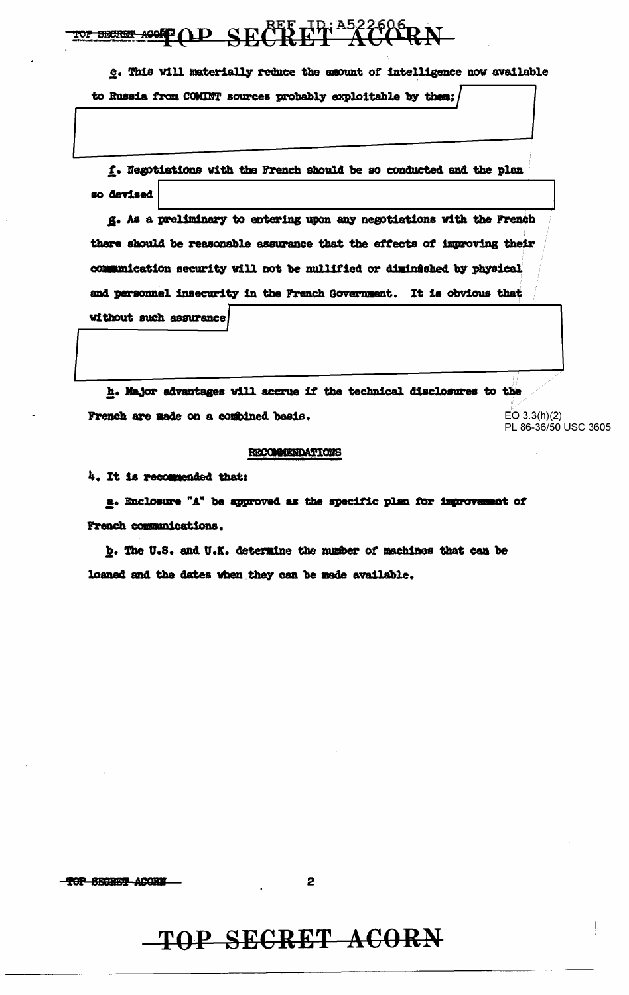AGOST OD SECRET ID: A522606 RN TOP SECRET

e. This will materially reduce the amount of intelligence now available to Russia from COMINT sources probably exploitable by them;

f. Negotiations with the French should be so conducted and the plan so devised

g. As a preliminary to entering upon any negotiations with the French there should be reasonable assurance that the effects of improving their communication security will not be mullified or diminished by physical and personnel insecurity in the French Government. It is obvious that without such assurance

h. Major advantages will accrue if the technical disclosures to the French are made on a combined basis.

 $EO 3.3(h)(2)$ PL 86-36/50 USC 3605

### RECOMMENDATIONS

4. It is recommended that:

a. Enclosure "A" be approved as the specific plan for improvement of French communications.

b. The U.S. and U.K. determine the number of machines that can be loaned and the dates when they can be made available.

-TOP SECRET ACORU

### TOP SECRET ACORN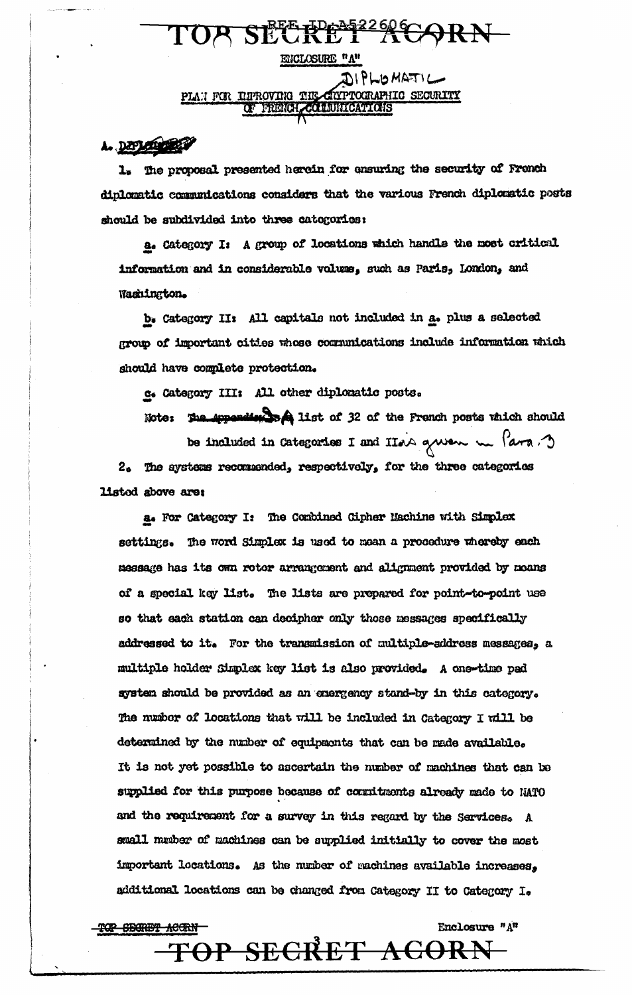### ENCLOSURE "A" DIPLOMATIC **CORAPHIC SECURITY** PLAN FOR INFROVING THE OF FRENCH COLLUNICATIONS

TOR SECRET ACORN

### A. DEPLEMBER

<del>TOP SEGRET ACCRN</del>

The proposal presented herein for ensuring the security of French ı. diplomatic communications considers that the various French diplomatic posts should be subdivided into three catogories:

a. Category I: A group of locations which handle the most critical information and in considerable volume, such as Paris, London, and Washington.

b. Category II: All capitals not included in a. plus a selected group of important cities whose communications include information which should have complete protection.

c. Category III: All other diplomatic posts.

Note: The Appendix set list of 32 of the French posts which should

be included in Categories I and IIon grow me fara. The systems recommended, respectively, for the three categories  $2<sub>n</sub>$ listed above are:

a. For Category I: The Combined Cipher Machine with Simplex settings. The word Simplex is used to mean a procedure whereby each message has its own rotor arrangement and alignment provided by moans of a special key list. The lists are prepared for point-to-point use so that each station can decipher only those messages specifically addressed to it. For the transmission of multiple-address messages, a multiple holder Simplex key list is also provided. A one-time pad system should be provided as an energency stand-by in this category. The number of locations that will be included in Category I will be determined by the number of equipments that can be made available. It is not yet possible to ascertain the number of machines that can be supplied for this purpose because of cornitments already made to NATO and the requirement for a survey in this regard by the Services. A small mmber of machines can be supplied initially to cover the most important locations. As the number of machines available increases, additional locations can be changed from Category II to Category I.

## TOP SECRET ACORN

Enclosure "A"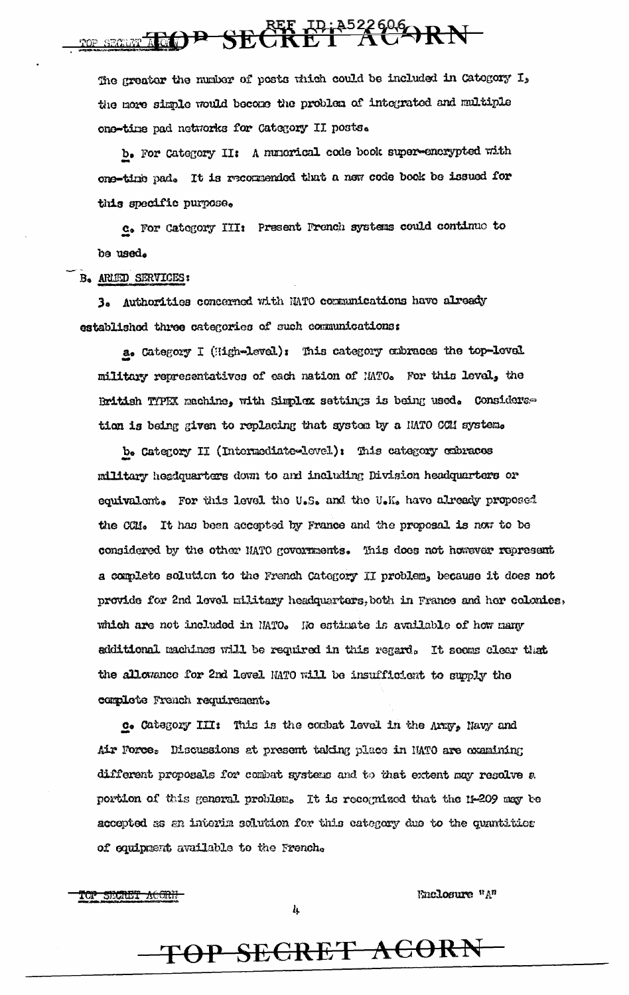# ne second TGOP SECRET ACARN

The greater the number of posts thich could be included in Category I, the more simple would become the problem of integrated and multiple one-time pad networks for Category II posts.

b. For Category II: A numerical code book super-encrypted with one-time pad. It is recommended that a new code book be issued for this specific purpose.

c. For Category III: Present French systems could continue to be used.

### B. ARLED SERVICES:

3. Authorities concerned with NATO communications have already established three categories of such communications:

a. Category I (High-level): This category embraces the top-level military representatives of each nation of MTO. For this level, the British TYPEX machine, with Simplex settings is being used. Considerstion is being given to replacing that system by a HATO COM system.

b. Category II (Intermediate-level): This category cubraces military headquarters down to and including Division headquarters or equivalent. For this level the U.S. and the U.K. have already proposed the CCM. It has been accepted by France and the proposal is now to be considered by the other NATO governments. This does not however represent a complete solution to the French Category II problem, because it does not provide for 2nd level military headquarters, both in France and her colonies, which are not included in NATO. No estimate is available of how many additional machines will be required in this regard. It seems clear that the allowance for 2nd level MATO will be insufficient to supply the complete French requirement.

c. Category III: This is the combat level in the Army, Navy and Air Force. Discussions at present taking place in NATO are examining different proposals for combat systems and to that extent may resolve a portion of this general problem. It is recognized that the 11-209 may be accepted as an interim solution for this category due to the quantities of equipment available to the French.

TOP SECRET ACORN

Enclosure "A"

 $\boldsymbol{l_1}$ 

## TOP SECRET ACORN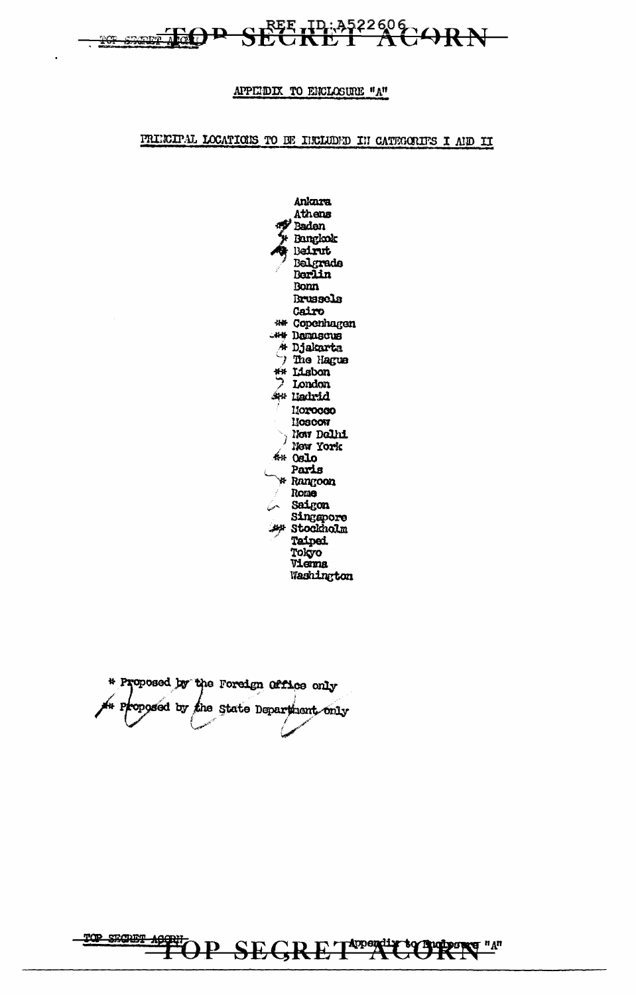

### APPEIDIX TO ENCLOSURE "A"

### PRINCIPAL LOCATIONS TO BE INCLUDED IN CATEGORIES I AND II

Ankara Athens **Badan** Bangkok Beirut Belgrade Berlin **Bonn Brussels** Cairo \*\* Copenhagen WH Damascus 4 Djakarta 7 The Hague \*\* Lisbon  $2$  London St# Liadrid 11020000 **HOSCOW** ) Now Dollai New York  $440$  0810 Paris \* Rangoon Rome Saigon Singapore **At Stockholm** Taipei. Tokyo Vienna Washington

\* Proposed by the Foreign Office only At Proposed by the State Department only

TOP SEGRET APPLICE paparee "A" ъq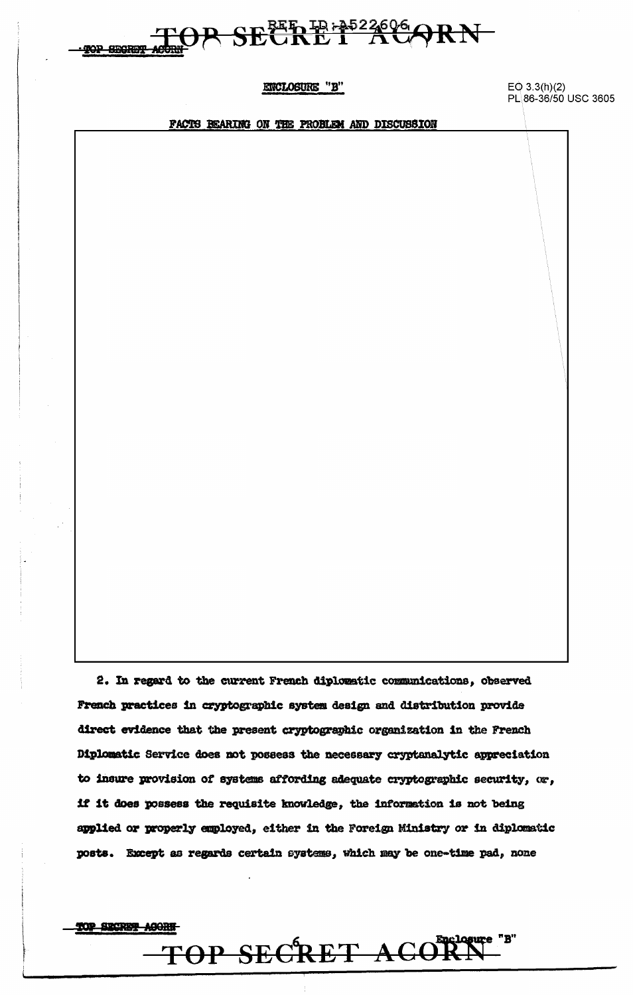

### ENCLOSURE "B"

 $EO 3.3(h)(2)$ PL 86-36/50 USC 3605

FACTS BEARING ON THE PROBLEM AND DISCUSSION

2. In regard to the current French diplomatic communications, observed French practices in cryptographic system design and distribution provide direct evidence that the present cryptographic organization in the French Diplomatic Service does not possess the necessary cryptanalytic appreciation to insure provision of systems affording adequate cryptographic security, or, if it does possess the requisite knowledge, the information is not being applied or properly employed, either in the Foreign Ministry or in diplomatic posts. Except as regards certain systems, which may be one-time pad, none

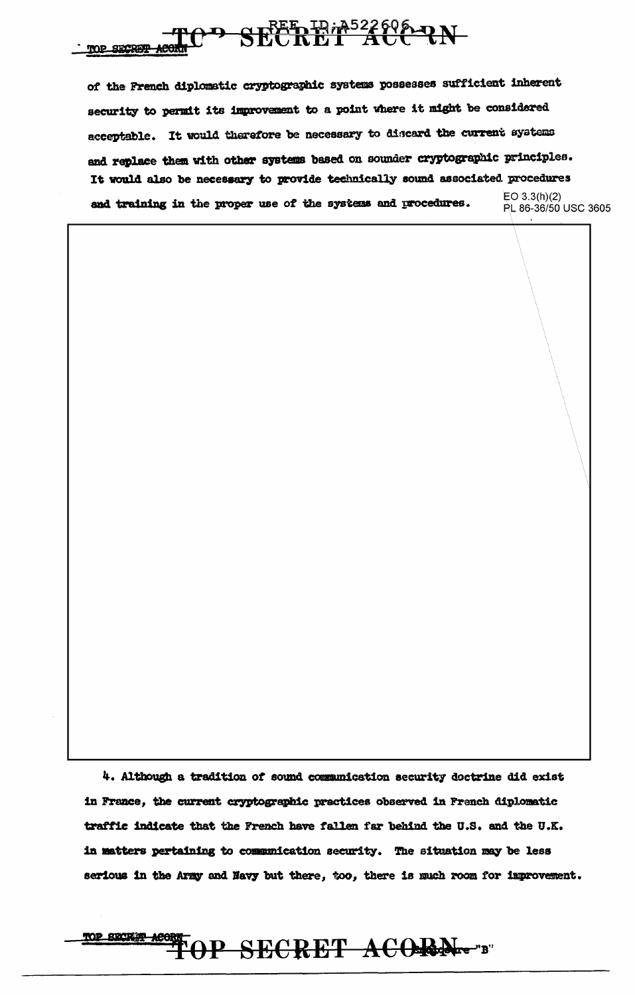

of the French diplomatic cryptographic systems possesses sufficient inherent security to permit its improvement to a point where it might be considered acceptable. It would therefore be necessary to discard the current systems and replace them with other systems based on sounder cryptographic principles. It would also be necessary to provide technically sound associated procedures  $EO 3.3(h)(2)$ and training in the proper use of the systems and procedures. PL 86-36/50 USC 3605

4. Although a tradition of sound communication security doctrine did exist in France, the current cryptographic practices observed in Franch diplomatic traffic indicate that the French have fallen far behind the U.S. and the U.K. in matters pertaining to communication security. The situation may be less serious in the Army and Navy but there, too, there is much room for improvement.

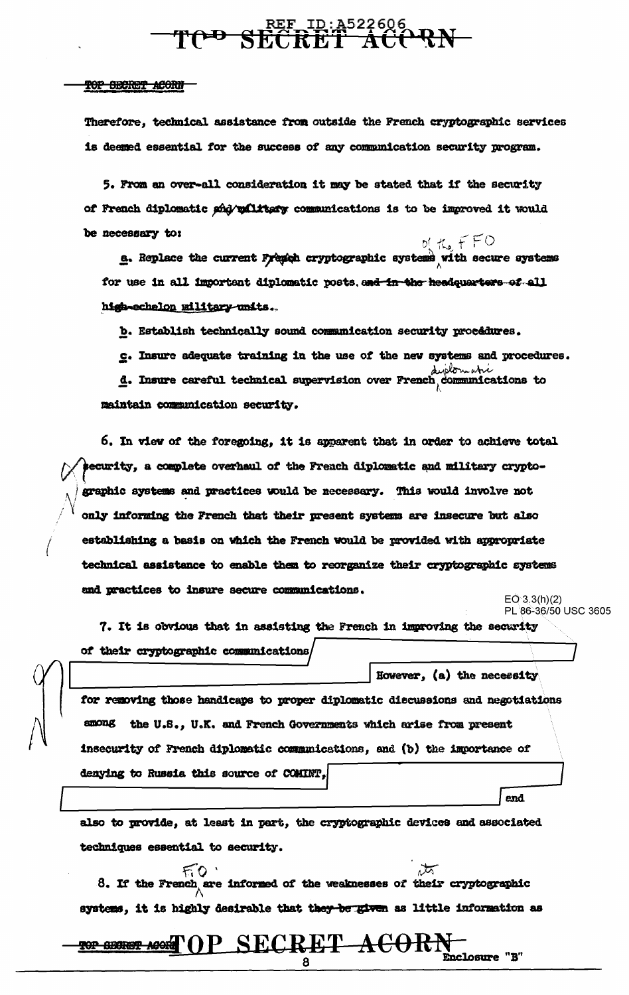# **TOD SEE ID:A522606**

### TOP SECRET ACORN

Therefore, technical assistance from outside the French cryptographic services is deemed essential for the success of any communication security program.

5. From an over-all consideration it may be stated that if the security of French diplomatic she valitary communications is to be improved it would be necessary to:

**E.** Replace the current Fremen cryptographic systems with secure systems  $\mathbf{g}$ . Replace the current Fremen cryptographic systems for use in all important diplomatic posts, and in the headquarters of all hish-echalon military-units.

b. Establish technically sound communication security procédures.

c. Insure adequate training in the use of the new systems and procedures.

d. Insure careful technical supervision over French, communications to maintain communication security.

6. In view of the foregoing, it is apparent that in order to achieve total security, a complete overhaul of the French diplomatic and military cryptographic systems and practices would be necessary. This would involve not only informing the French that their present systems are insecure but also establishing a basis on which the French would be provided with appropriate technical assistance to enable them to reorganize their cryptographic systems and practices to insure secure communications.

 $EQ^{3}3.3(h)(2)$ PL 86-36/50 USC 3605

end.

However, (a) the necessity

7. It is obvious that in assisting the French in improving the security of their cryptographic communications

for removing those handicaps to proper diplomatic discussions and negotiations among the U.S., U.K. and French Governments which arise from present insecurity of French diplomatic communications, and (b) the importance of denying to Russia this source of COMINT,

also to provide, at least in part, the cryptographic devices and associated techniques essential to security.

 $\overline{\mathcal{M}}$  $FQ$ 8. If the French are informed of the weaknesses of their cryptographic systems, it is highly desirable that they be given as little information as

#### P\_SECRET\_A<del>CORN</del> **TOP SECRET ACORM** () Enclosure  $"B"$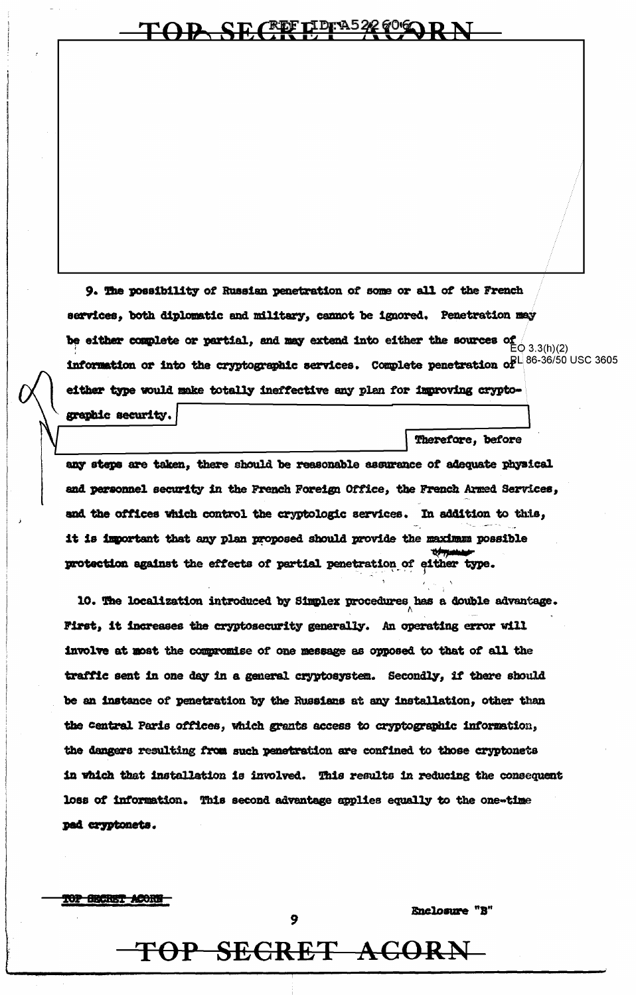### OP SECRETPEA522 606

9. The possibility of Russian penetration of some or all of the French services, both diplomatic and military, cannot be ignored. Penetration may be either complete or partial, and may extend into either the sources of  $\overline{C}$  (3.3(h)(2) information or into the cryptographic services. Complete penetration of  $B^{1/86-36/50}$  USC 3605 either type would make totally ineffective any plan for improving crypto-

graphic security.

Therefore, before

any steps are taken, there should be reasonable assurance of adequate physical and personnel security in the French Foreign Office, the French Armed Services, and the offices which control the cryptologic services. In addition to this, it is important that any plan proposed should provide the maximum possible protection against the effects of partial penetration of either type.

10. The localization introduced by Simplex procedures has a double advantage. First, it increases the cryptosecurity generally. An operating error will involve at most the compromise of one message as opposed to that of all the traffic sent in one day in a general cryptosystem. Secondly, if there should be an instance of penetration by the Russians at any installation, other than the central Paris offices, which grants access to cryptographic information, the dangers resulting from such penetration are confined to those cryptonets in which that installation is involved. This results in reducing the consequent loss of information. This second advantage applies equally to the one-time pad cryptonets.

**TOP SECRET ACORN** 

Enclosure "B"

## TOP SECRET ACORN

9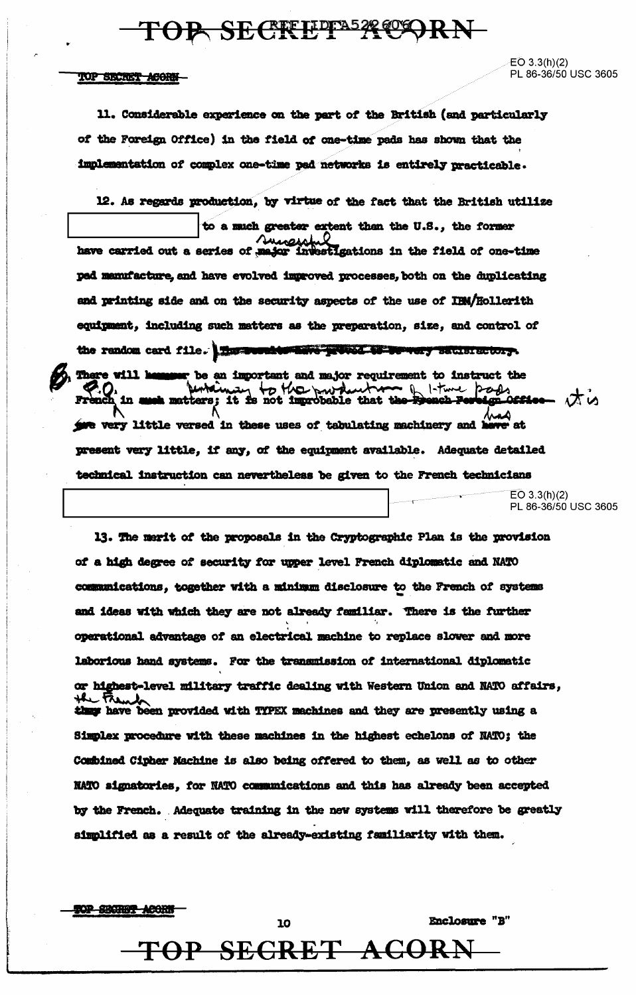### TOP SECKEPPA529CORN

### TOP SECRET ACORN-

 $EO 3.3(h)(2)$ PL 86-36/50 USC 3605

11. Considerable experience on the part of the British (and particularly of the Foreign Office) in the field of one-time pads has shown that the implementation of complex one-time pad networks is entirely practicable.

12. As regards production, by virtue of the fact that the British utilize to a much greater extent than the U.S., the former have carried out a series of major investigations in the field of one-time ped manufacture, and have evolved improved processes, both on the duplicating and printing side and on the security aspects of the use of IBM/Hollerith equipment, including such matters as the preparation, size, and control of the random card file. The word to have proved to be wery satisfactory. There will he meer be an important and major requirement to instruct the P.O. Motamay to the production of I-time page - ばい مم give very little versed in these uses of tabulating machinery and heve at present very little, if any, of the equipment available. Adequate detailed technical instruction can nevertheless be given to the French technicians

 $EO 3.3(h)(2)$ PL 86-36/50 USC 3605

Enclosure "B"

13. The merit of the proposals in the Cryptographic Plan is the provision of a high degree of security for upper level French diplomatic and NATO communications, together with a minimum disclosure to the French of systems and ideas with which they are not already familiar. There is the further operational advantage of an electrical machine to replace slower and more laborious hand systems. For the transmission of international diplomatic or highest-level military traffic dealing with Western Union and NATO affairs, the Fie they have been provided with TYPEX machines and they are presently using a Simplex procedure with these machines in the highest echelons of NATO; the Combined Cipher Machine is also being offered to them, as well as to other NATO signatories, for NATO communications and this has already been accepted by the French. Adequate training in the new systems will therefore be greatly simplified as a result of the already-existing familiarity with them.

**TOP SECRET ACORN** 

TOP SECRET ACORN